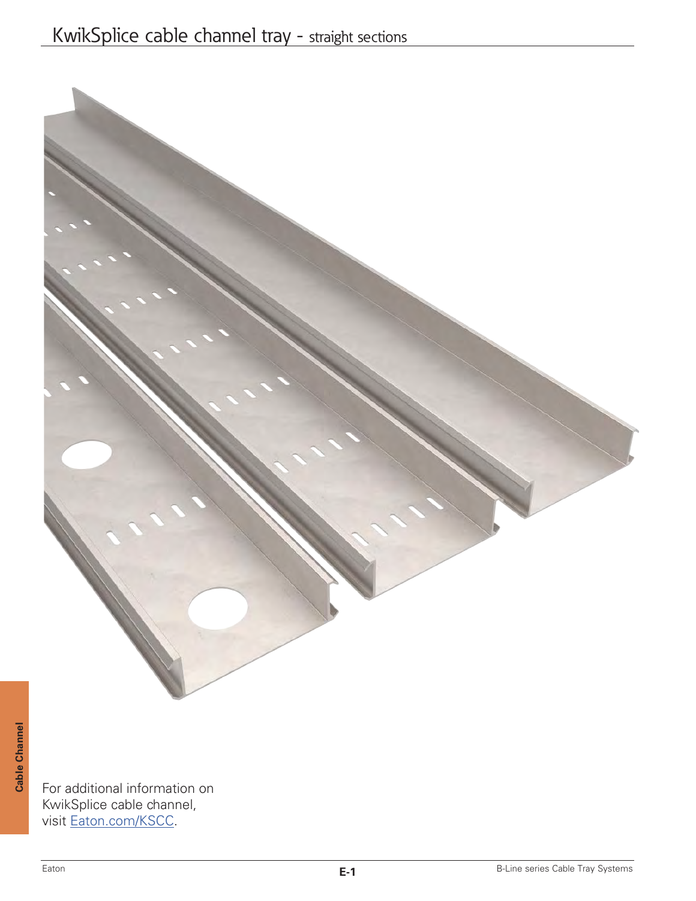

For additional information on KwikSplice cable channel, visit Eaton.com/KSCC.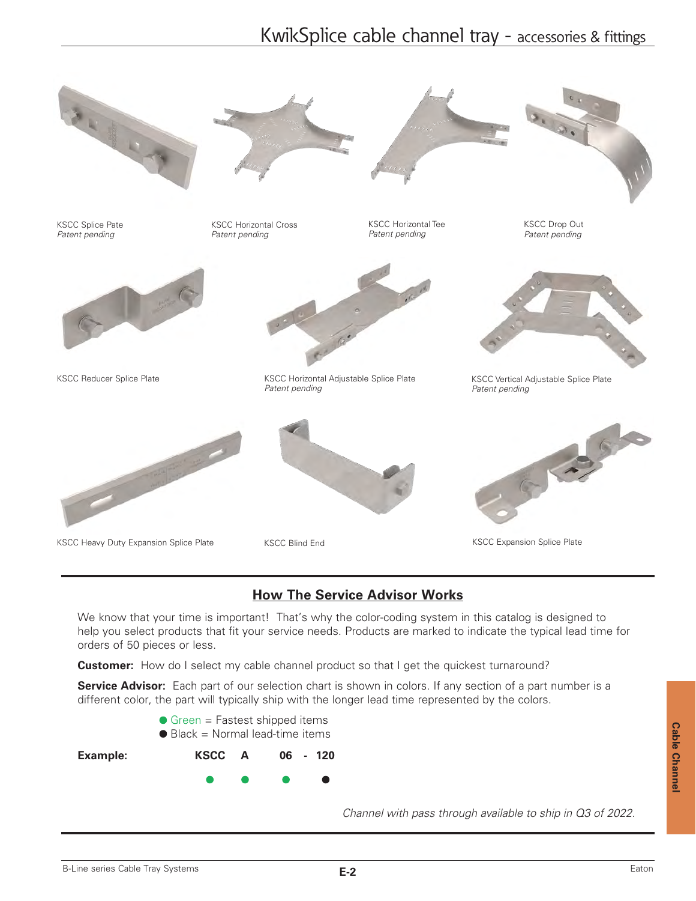# KwikSplice cable channel tray - accessories & fittings



KSCC Splice Pate *Patent pending*



KSCC Reducer Splice Plate



KSCC Horizontal Cross *Patent pending*



KSCC Horizontal Tee *Patent pending*



KSCC Drop Out *Patent pending*



KSCC Vertical Adjustable Splice Plate *Patent pending*



KSCC Heavy Duty Expansion Splice Plate **KSCC Expansion Splice Plate** KSCC Expansion Splice Plate



KSCC Horizontal Adjustable Splice Plate *Patent pending*



KSCC Blind End



## **How The Service Advisor Works**

We know that your time is important! That's why the color-coding system in this catalog is designed to help you select products that fit your service needs. Products are marked to indicate the typical lead time for orders of 50 pieces or less.

**Customer:** How do I select my cable channel product so that I get the quickest turnaround?

**Service Advisor:** Each part of our selection chart is shown in colors. If any section of a part number is a different color, the part will typically ship with the longer lead time represented by the colors.



*Channel with pass through available to ship in Q3 of 2022.*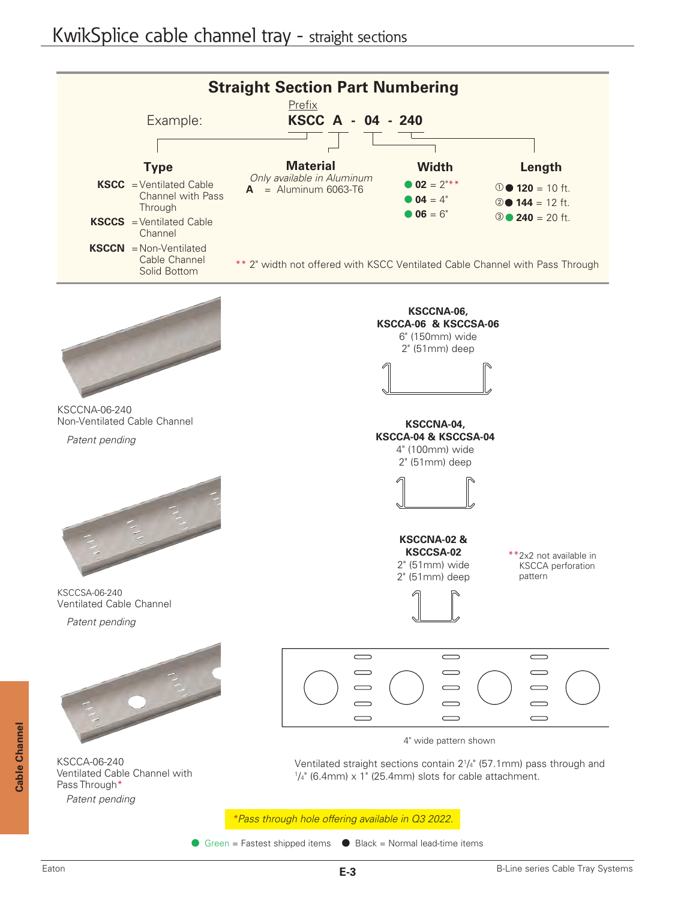

Green = Fastest shipped items  $\bullet$  Black = Normal lead-time items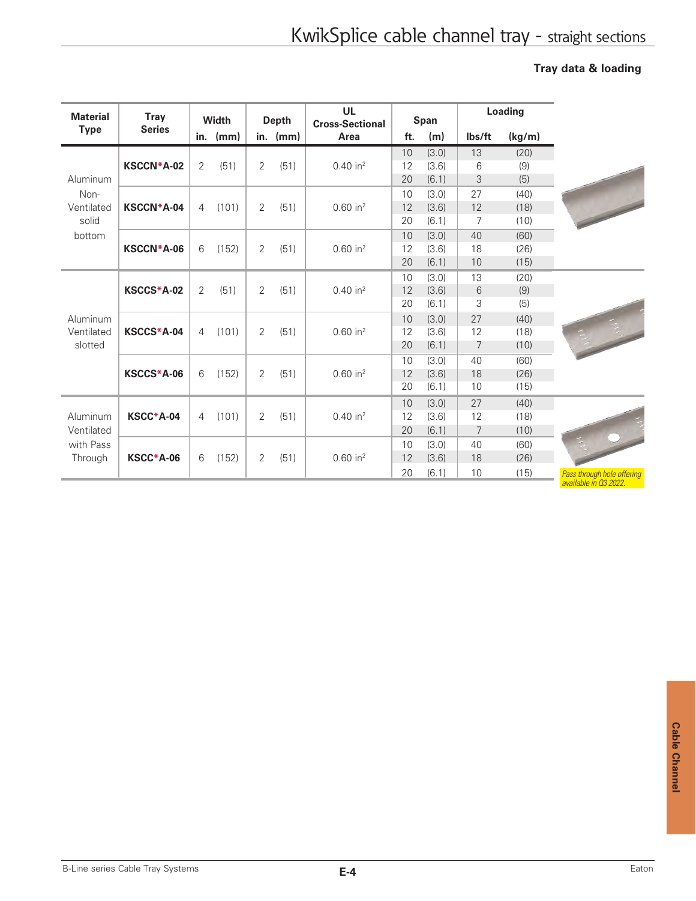## **Tray data & loading**

| <b>Material</b>                     | <b>Tray</b>                  |                        | Width      |                | <b>Depth</b>           | <b>UL</b><br><b>Cross-Sectional</b> |       | Span  |                | Loading |      |
|-------------------------------------|------------------------------|------------------------|------------|----------------|------------------------|-------------------------------------|-------|-------|----------------|---------|------|
| <b>Type</b>                         | <b>Series</b>                |                        | in. $(mm)$ |                | in. $(mm)$             | Area                                | ft.   | (m)   | lbs/ft         | (kg/m)  |      |
|                                     |                              |                        |            |                |                        |                                     | 10    | (3.0) | 13             | (20)    |      |
|                                     | <b>KSCCN*A-02</b>            | $\overline{2}$         | (51)       | $\overline{2}$ | (51)                   | $0.40$ in <sup>2</sup>              | 12    | (3.6) | 6              | (9)     |      |
| Aluminum                            |                              |                        |            |                |                        |                                     | 20    | (6.1) | 3              | (5)     |      |
| Non-                                |                              |                        |            |                |                        |                                     | 10    | (3.0) | 27             | (40)    |      |
| Ventilated                          | <b>KSCCN*A-04</b>            | $\overline{4}$         | (101)      | 2              | (51)                   | $0.60$ in <sup>2</sup>              | 12    | (3.6) | 12             | (18)    |      |
| solid                               |                              |                        |            |                |                        |                                     | 20    | (6.1) | 7              | (10)    |      |
| bottom                              |                              |                        |            |                |                        |                                     | 10    | (3.0) | 40             | (60)    |      |
|                                     | KSCCN*A-06                   | 6                      | (152)      | 2              | (51)                   | $0.60$ in <sup>2</sup>              | 12    | (3.6) | 18             | (26)    |      |
|                                     |                              |                        |            |                |                        |                                     | 20    | (6.1) | 10             | (15)    |      |
|                                     |                              |                        |            |                |                        |                                     | 10    | (3.0) | 13             | (20)    |      |
|                                     | KSCCS*A-02                   | $\overline{2}$<br>(51) | 2          | (51)           | $0.40$ in <sup>2</sup> | 12                                  | (3.6) | 6     | (9)            |         |      |
|                                     |                              |                        |            |                |                        |                                     | 20    | (6.1) | 3              | (5)     |      |
| Aluminum                            | KSCCS*A-04<br>$\overline{4}$ |                        |            |                |                        |                                     |       | 10    | (3.0)          | 27      | (40) |
| Ventilated                          |                              | (101)                  | 2          | (51)           | $0.60$ in <sup>2</sup> | 12                                  | (3.6) | 12    | (18)           |         |      |
| slotted                             |                              |                        |            |                |                        |                                     | 20    | (6.1) | 7              | (10)    |      |
|                                     |                              |                        |            |                |                        |                                     | 10    | (3.0) | 40             | (60)    |      |
|                                     | KSCCS*A-06                   | 6                      | (152)      | 2              | (51)                   | $0.60$ in <sup>2</sup>              | 12    | (3.6) | 18             | (26)    |      |
|                                     |                              |                        |            |                |                        |                                     | 20    | (6.1) | 10             | (15)    |      |
|                                     |                              |                        |            |                |                        |                                     | 10    | (3.0) | 27             | (40)    |      |
| Aluminum<br>Ventilated<br>with Pass | KSCC*A-04                    | 4                      | (101)      | $\overline{2}$ | (51)                   | $0.40$ in <sup>2</sup>              | 12    | (3.6) | 12             | (18)    |      |
|                                     |                              |                        |            |                |                        |                                     | 20    | (6.1) | $\overline{7}$ | (10)    |      |
|                                     |                              |                        |            |                |                        |                                     | 10    | (3.0) | 40             | (60)    |      |
| Through                             | KSCC*A-06                    | 6                      | (152)      | $\overline{2}$ | (51)                   | $0.60$ in <sup>2</sup>              | 12    | (3.6) | 18             | (26)    |      |
|                                     |                              |                        |            |                |                        |                                     | 20    | (6.1) | 10             | (15)    |      |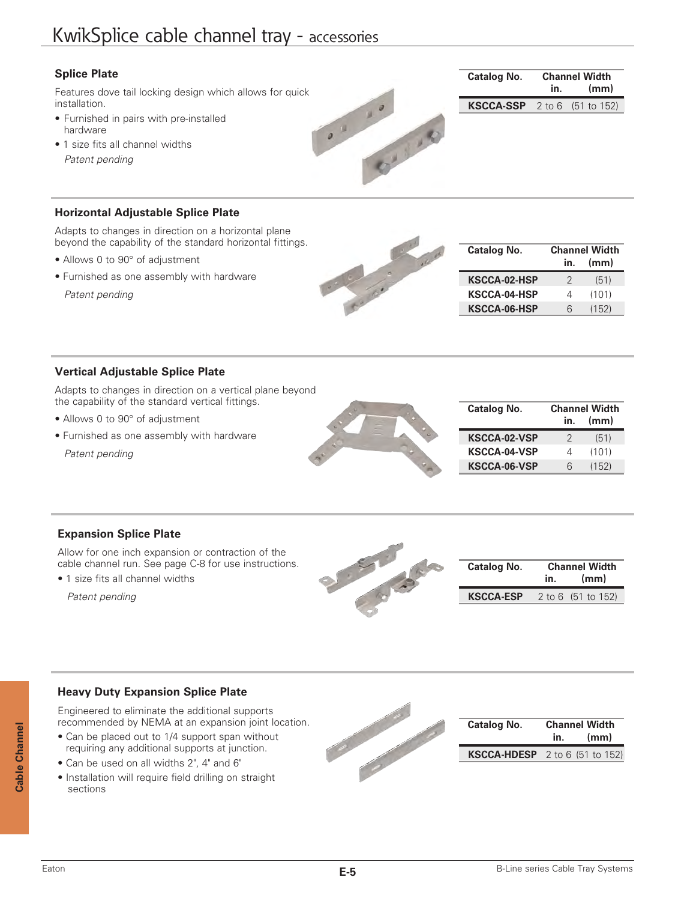# KwikSplice cable channel tray - accessories

## **Splice Plate**

Features dove tail locking design which allows for quick installation.

- Furnished in pairs with pre-installed hardware
- 1 size fits all channel widths *Patent pending*

## **Horizontal Adjustable Splice Plate**

Adapts to changes in direction on a horizontal plane beyond the capability of the standard horizontal fittings.

- Allows 0 to 90° of adjustment
- Furnished as one assembly with hardware

*Patent pending*



.. .. ...

| <b>Catalog No.</b>  | <b>Channel Width</b> |       |  |
|---------------------|----------------------|-------|--|
|                     | in.                  | (mm)  |  |
| <b>KSCCA-02-HSP</b> | 2                    | (51)  |  |
| <b>KSCCA-04-HSP</b> | Δ                    | (101) |  |
| <b>KSCCA-06-HSP</b> | 6                    | (152) |  |

**Catalog No. Channel Width**

**KSCCA-SSP** 2 to 6 (51 to 152)

 **in. (mm)**

## **Vertical Adjustable Splice Plate**

Adapts to changes in direction on a vertical plane beyond the capability of the standard vertical fittings.

- Allows 0 to 90° of adjustment
- Furnished as one assembly with hardware

*Patent pending*



| Catalog No.         | <b>Channel Width</b> |       |  |
|---------------------|----------------------|-------|--|
|                     | in.                  | (mm)  |  |
| <b>KSCCA-02-VSP</b> | 2                    | (51)  |  |
| <b>KSCCA-04-VSP</b> | 4                    | (101) |  |
| <b>KSCCA-06-VSP</b> | 6                    | (152) |  |

## **Expansion Splice Plate**

Allow for one inch expansion or contraction of the cable channel run. See page C-8 for use instructions.

• 1 size fits all channel widths

*Patent pending*



| <b>Catalog No.</b> | <b>Channel Width</b><br>(mm)<br>in. |                    |
|--------------------|-------------------------------------|--------------------|
| <b>KSCCA-ESP</b>   |                                     | 2 to 6 (51 to 152) |

## **Heavy Duty Expansion Splice Plate**

Engineered to eliminate the additional supports recommended by NEMA at an expansion joint location.

- Can be placed out to 1/4 support span without requiring any additional supports at junction.
- Can be used on all widths 2", 4" and 6"
- Installation will require field drilling on straight sections



| <b>Catalog No.</b>                      | <b>Channel Width</b><br>(mm)<br>in. |  |
|-----------------------------------------|-------------------------------------|--|
| <b>KSCCA-HDESP</b> $2$ to 6 (51 to 152) |                                     |  |

**Cable Channel**

Cable Channel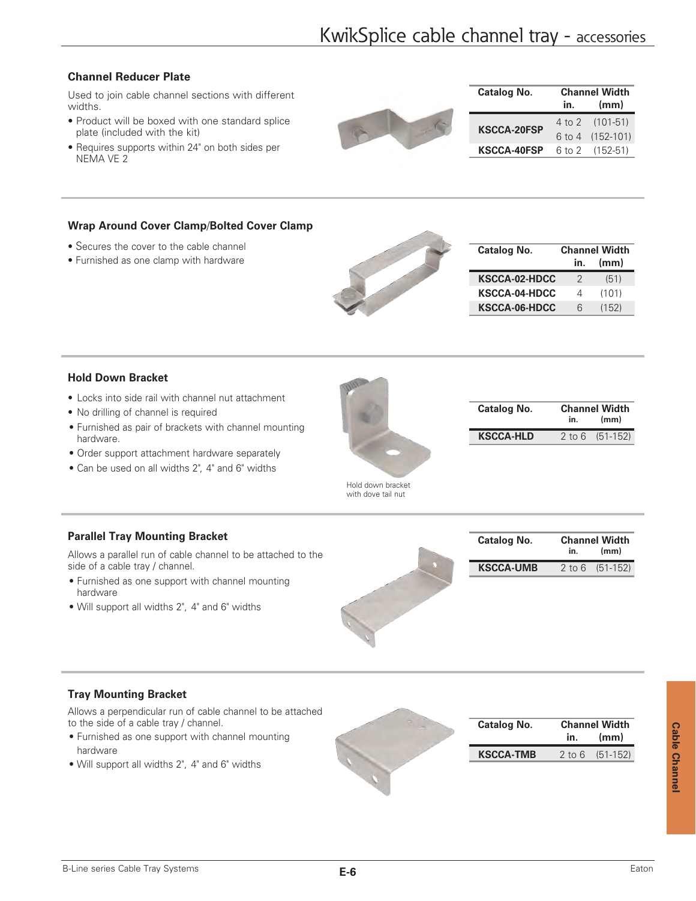## **Channel Reducer Plate**

Used to join cable channel sections with different widths.

- Product will be boxed with one standard splice plate (included with the kit)
- 

| <b>Catalog No.</b> | <b>Channel Width</b> |                  |  |
|--------------------|----------------------|------------------|--|
|                    | in.                  | (mm)             |  |
|                    |                      | 4 to 2 (101-51)  |  |
| <b>KSCCA-20FSP</b> |                      | 6 to 4 (152-101) |  |
| <b>KSCCA-40FSP</b> |                      | 6 to 2 (152-51)  |  |

• Requires supports within 24" on both sides per NEMA VE 2

## **Wrap Around Cover Clamp**/**Bolted Cover Clamp**

- Secures the cover to the cable channel
- Furnished as one clamp with hardware



| <b>Catalog No.</b>   | <b>Channel Width</b> |       |  |  |
|----------------------|----------------------|-------|--|--|
|                      | in.                  | (mm)  |  |  |
| <b>KSCCA-02-HDCC</b> | 2                    | (51)  |  |  |
| <b>KSCCA-04-HDCC</b> | 4                    | (101) |  |  |
| KSCCA-06-HDCC        | 6                    | (152) |  |  |

#### **Hold Down Bracket**

- Locks into side rail with channel nut attachment
- No drilling of channel is required
- Furnished as pair of brackets with channel mounting hardware.
- Order support attachment hardware separately
- Can be used on all widths 2", 4" and 6" widths



| <b>Catalog No.</b> | <b>Channel Width</b><br>(mm)<br>in. |                     |
|--------------------|-------------------------------------|---------------------|
| <b>KSCCA-HLD</b>   |                                     | $2$ to 6 $(51-152)$ |

Hold down bracket with dove tail nut

## **Parallel Tray Mounting Bracket**

Allows a parallel run of cable channel to be attached to the side of a cable tray / channel.

- Furnished as one support with channel mounting hardware
- Will support all widths 2", 4" and 6" widths





## **Tray Mounting Bracket**

Allows a perpendicular run of cable channel to be attached to the side of a cable tray / channel.

- Furnished as one support with channel mounting hardware
- Will support all widths 2", 4" and 6" widths

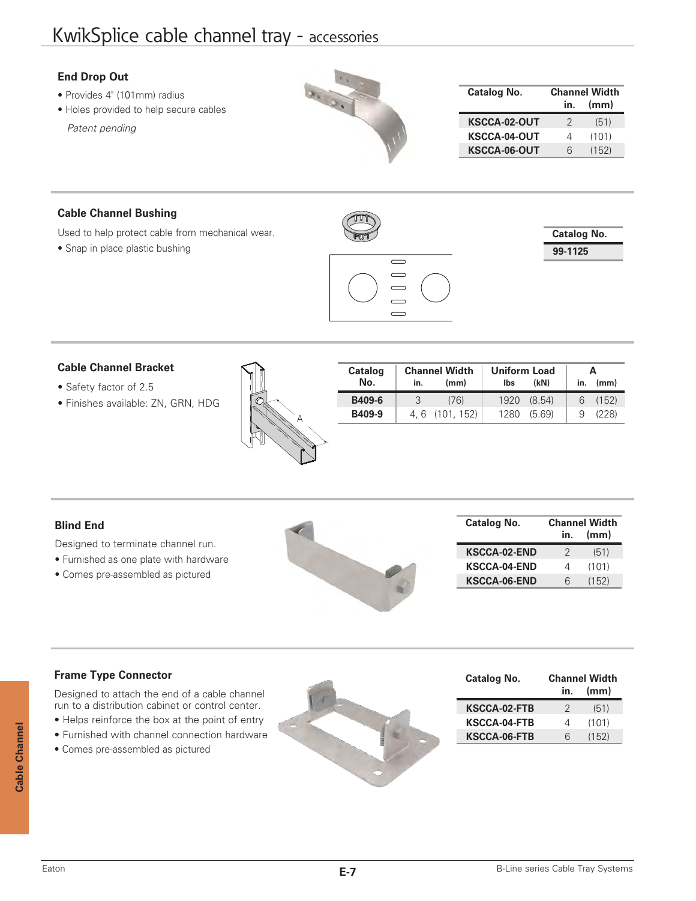# KwikSplice cable channel tray - accessories

| <b>End Drop Out</b>                                                    |                     |     |                              |
|------------------------------------------------------------------------|---------------------|-----|------------------------------|
| • Provides 4" (101mm) radius<br>• Holes provided to help secure cables | <b>Catalog No.</b>  | ın. | <b>Channel Width</b><br>(mm) |
|                                                                        | <b>KSCCA-02-OUT</b> |     | (51)                         |
| Patent pending                                                         | <b>KSCCA-04-OUT</b> |     | (101)                        |
|                                                                        | <b>KSCCA-06-OUT</b> |     | (152)                        |
|                                                                        |                     |     |                              |

## **Cable Channel Bushing**

Used to help protect cable from mechanical wear.

• Snap in place plastic bushing



| <b>Catalog No.</b> |  |
|--------------------|--|
| 99-1125            |  |



#### **Cable Channel Bracket**

- Safety factor of 2.5
- Finishes available: ZN, GRN, HDG



| Catalog | <b>Channel Width</b> |               | <b>Uniform Load</b> | А      |     |       |
|---------|----------------------|---------------|---------------------|--------|-----|-------|
| No.     | in.                  | (mm)          | lbs                 | (kN)   | in. | (mm)  |
| B409-6  | 3                    | (76)          | 1920                | (8.54) | 6   | (152) |
| B409-9  |                      | 4.6 (101.152) | 1280                | (5.69) |     | (228) |

L

## **Blind End**

Designed to terminate channel run.

- Furnished as one plate with hardware
- Comes pre-assembled as pictured



| Catalog No.         |             | <b>Channel Width</b> |  |  |  |  |  |
|---------------------|-------------|----------------------|--|--|--|--|--|
|                     | (mm)<br>in. |                      |  |  |  |  |  |
| <b>KSCCA-02-END</b> | 2           | (51)                 |  |  |  |  |  |
| <b>KSCCA-04-END</b> | 4           | (101)                |  |  |  |  |  |
| <b>KSCCA-06-END</b> | 6           | (152)                |  |  |  |  |  |

| <b>Frame Type Connector</b>                      | Catalog No.         |     | <b>Channel Width</b> |
|--------------------------------------------------|---------------------|-----|----------------------|
| Designed to attach the end of a cable channel    |                     | In. | (mm)                 |
| run to a distribution cabinet or control center. | <b>KSCCA-02-FTB</b> |     | (51)                 |
| • Helps reinforce the box at the point of entry  | <b>KSCCA-04-FTB</b> |     | (101)                |
| · Furnished with channel connection hardware     | <b>KSCCA-06-FTB</b> |     | (152)                |
| • Comes pre-assembled as pictured                |                     |     |                      |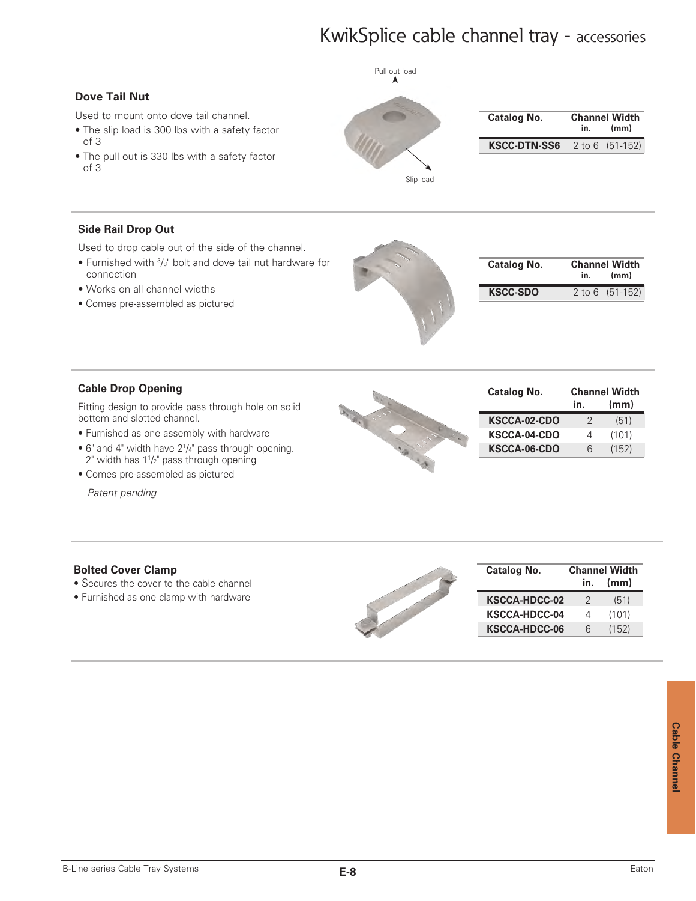# KwikSplice cable channel tray - accessories

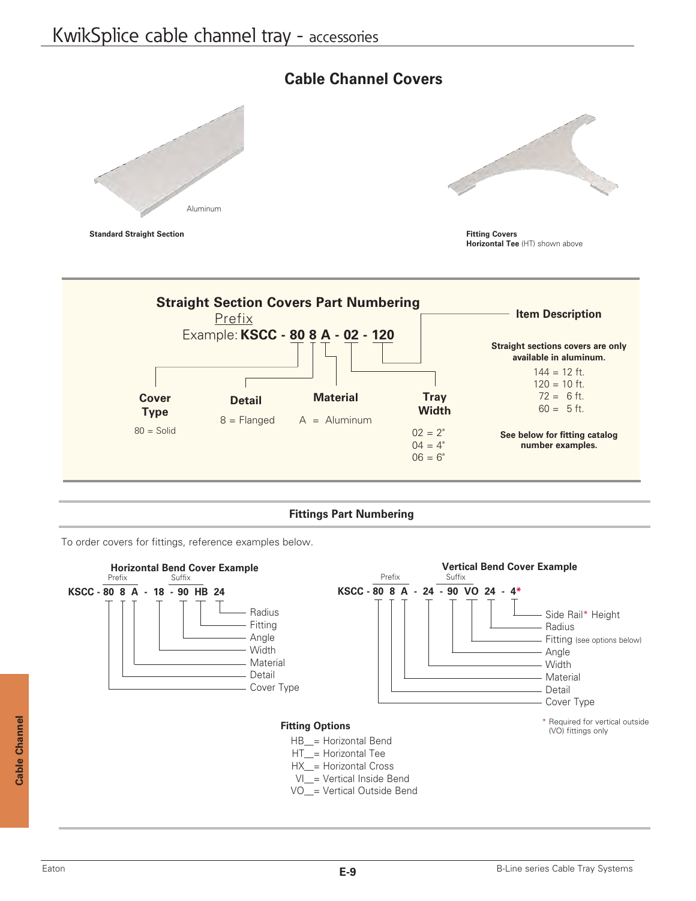# Aluminum

## **Cable Channel Covers**







## **Fittings Part Numbering**

To order covers for fittings, reference examples below.

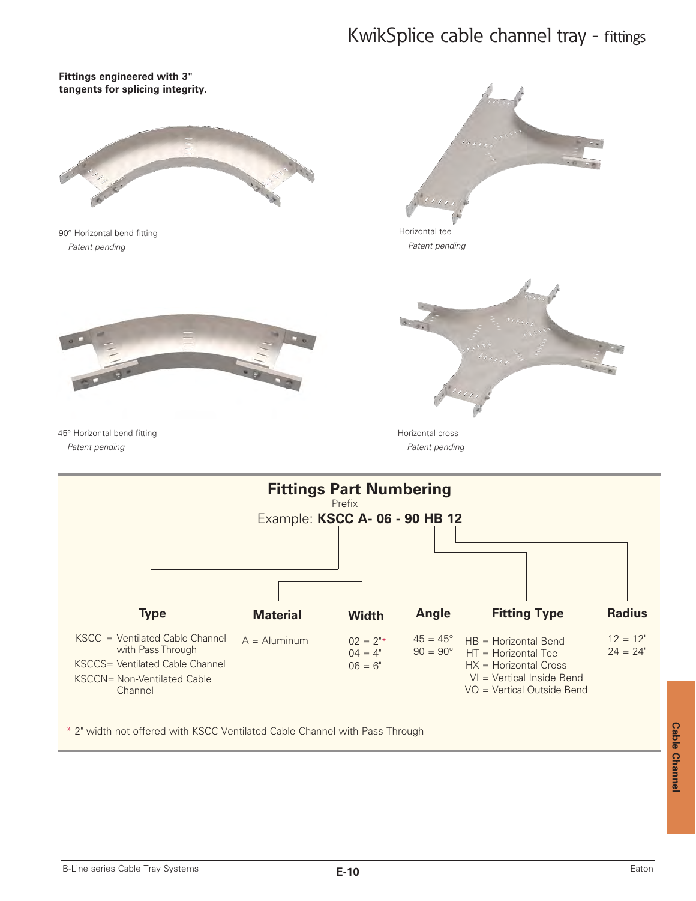# KwikSplice cable channel tray - fittings



\* 2" width not offered with KSCC Ventilated Cable Channel with Pass Through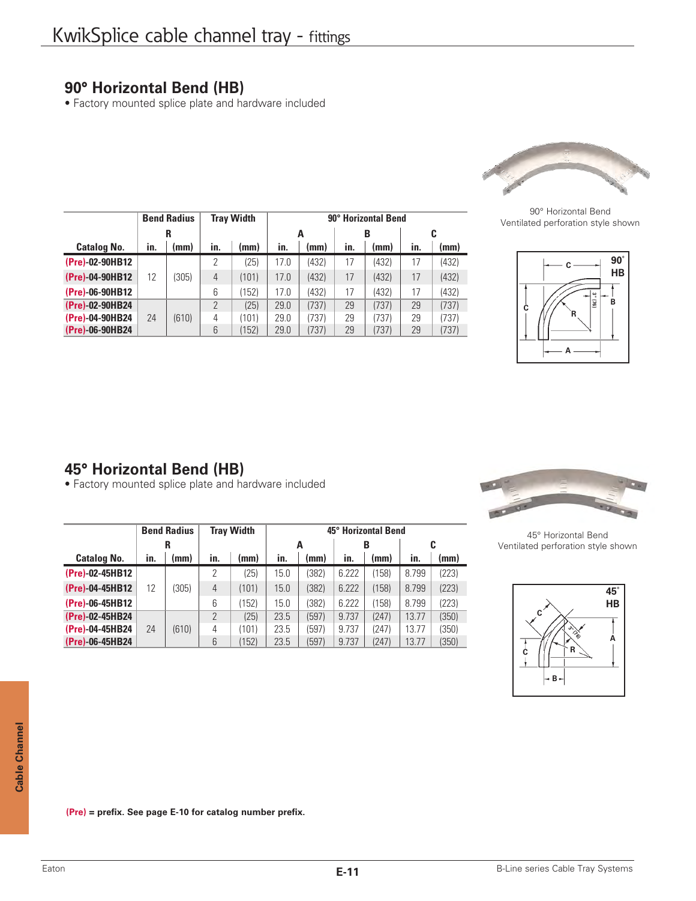## **90° Horizontal Bend (HB)**

• Factory mounted splice plate and hardware included

|                    |     | <b>Bend Radius</b> |     | <b>Tray Width</b> | 90° Horizontal Bend |       |     |       |     |       |  |  |
|--------------------|-----|--------------------|-----|-------------------|---------------------|-------|-----|-------|-----|-------|--|--|
|                    |     | R                  |     |                   |                     | Α     |     | B     | c   |       |  |  |
| <b>Catalog No.</b> | in. | (mm)               | in. | (mm)              | in.                 | (mm)  | in. | (mm)  | in. | (mm)  |  |  |
| (Pre)-02-90HB12    |     |                    | 2   | (25)              | 17.0                | (432) | 17  | (432) | 17  | (432) |  |  |
| (Pre)-04-90HB12    | 12  | (305)              | 4   | (101)             | 17.0                | (432) | 17  | (432) | 17  | (432) |  |  |
| (Pre)-06-90HB12    |     |                    | 6   | (152)             | 17.0                | (432) | 17  | (432) | 17  | (432) |  |  |
| (Pre)-02-90HB24    |     |                    | 2   | (25)              | 29.0                | (737) | 29  | (737) | 29  | (737) |  |  |
| (Pre)-04-90HB24    | 24  | (610)              | 4   | (101)             | 29.0                | (737) | 29  | (737) | 29  | (737) |  |  |
| (Pre)-06-90HB24    |     |                    | 6   | (152)             | 29.0                | (737) | 29  | (737) | 29  | (737) |  |  |



90° Horizontal Bend Ventilated perforation style shown



# **45° Horizontal Bend (HB)**

• Factory mounted splice plate and hardware included

|                    | <b>Bend Radius</b> |       | <b>Trav Width</b> |       |      |       |       | 45° Horizontal Bend |       |       | 45° Horizontal Bend            |
|--------------------|--------------------|-------|-------------------|-------|------|-------|-------|---------------------|-------|-------|--------------------------------|
|                    |                    | R     |                   |       |      | A     |       | B                   |       | C     | Ventilated perforation style s |
| <b>Catalog No.</b> | in.                | (mm)  | in.               | (mm)  | in.  | (mm)  | in.   | (mm)                | in.   | (mm)  |                                |
| (Pre)-02-45HB12    |                    |       |                   | (25)  | 15.0 | 382)  | 6.222 | 158)                | 8.799 | (223) |                                |
| (Pre)-04-45HB12    | 12                 | (305) | 4                 | (101) | 15.0 | (382) | 6.222 | (158)               | 8.799 | (223) | 45                             |
| (Pre)-06-45HB12    |                    |       | 6                 | 152)  | 15.0 | 382)  | 6.222 | 158)                | 8.799 | (223) | HI                             |
| (Pre)-02-45HB24    |                    |       |                   | (25)  | 23.5 | (597) | 9.737 | (247)               | 13.77 | (350) | C                              |
| (Pre)-04-45HB24    | 24                 | (610) | 4                 | (101) | 23.5 | (597) | 9.737 | (247)               | 13.77 | (350) | $\sim$                         |
| (Pre)-06-45HB24    |                    |       | 6                 | 152)  | 23.5 | (597) | 9.737 | (247)               | 13.77 | (350) | А                              |



45° Horizontal Bend Ventilated perforation style shown



**(Pre) = prefix. See page E-10 for catalog number prefix.**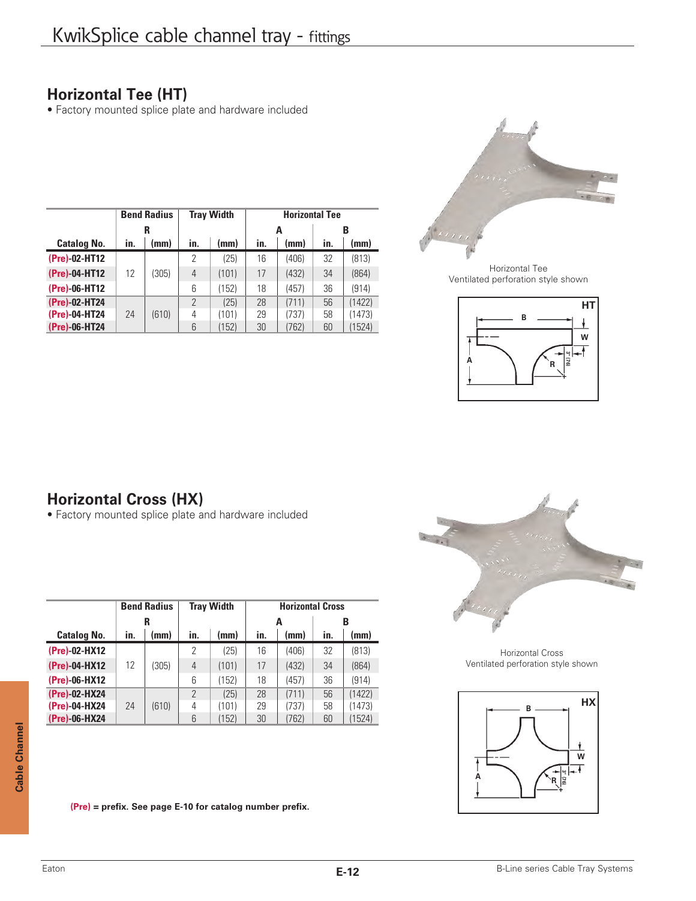## **Horizontal Tee (HT)**

• Factory mounted splice plate and hardware included

|                    |     | <b>Bend Radius</b> |                | <b>Tray Width</b> |     | <b>Horizontal Tee</b> |     |        |
|--------------------|-----|--------------------|----------------|-------------------|-----|-----------------------|-----|--------|
|                    | R   |                    |                |                   |     | А                     |     | B      |
| <b>Catalog No.</b> | in. | (mm)               | in.            | (mm)              | in. | (mm)                  | in. | (mm)   |
| (Pre)-02-HT12      |     |                    | 2              | (25)              | 16  | (406)                 | 32  | (813)  |
| (Pre)-04-HT12      | 12  | (305)              | $\overline{4}$ | (101)             | 17  | (432)                 | 34  | (864)  |
| (Pre)-06-HT12      |     |                    | 6              | (152)             | 18  | (457)                 | 36  | (914)  |
| (Pre)-02-HT24      |     |                    | $\overline{2}$ | (25)              | 28  | (711)                 | 56  | (1422) |
| (Pre)-04-HT24      | 24  | (610)              | 4              | (101)             | 29  | (737)                 | 58  | (1473) |
| (Pre)-06-HT24      |     |                    | 6              | (152)             | 30  | (762)                 | 60  | (1524) |



Horizontal Tee Ventilated perforation style shown



# **Horizontal Cross (HX)**

• Factory mounted splice plate and hardware included

|                    |     | <b>Bend Radius</b> |               | <b>Tray Width</b> |     | <b>Horizontal Cross</b> |     |        |  |  |
|--------------------|-----|--------------------|---------------|-------------------|-----|-------------------------|-----|--------|--|--|
|                    |     | R                  |               |                   |     | A                       |     | B      |  |  |
| <b>Catalog No.</b> | in. | (mm)               | in.           | (mm)              | in. | (mm)                    | in. | (mm)   |  |  |
| (Pre)-02-HX12      |     |                    | 2             | (25)              | 16  | (406)                   | 32  | (813)  |  |  |
| (Pre)-04-HX12      | 12  | (305)              | 4             | (101)             | 17  | (432)                   | 34  | (864)  |  |  |
| (Pre)-06-HX12      |     |                    | 6             | (152)             | 18  | (457)                   | 36  | (914)  |  |  |
| (Pre)-02-HX24      |     |                    | $\mathcal{P}$ | (25)              | 28  | (711)                   | 56  | (1422) |  |  |
| (Pre)-04-HX24      | 24  | (610)              | 4             | (101)             | 29  | (737)                   | 58  | (1473) |  |  |
| (Pre)-06-HX24      |     |                    | 6             | (152)             | 30  | (762)                   | 60  | (1524) |  |  |



Horizontal Cross Ventilated perforation style shown



**(Pre) = prefix. See page E-10 for catalog number prefix.**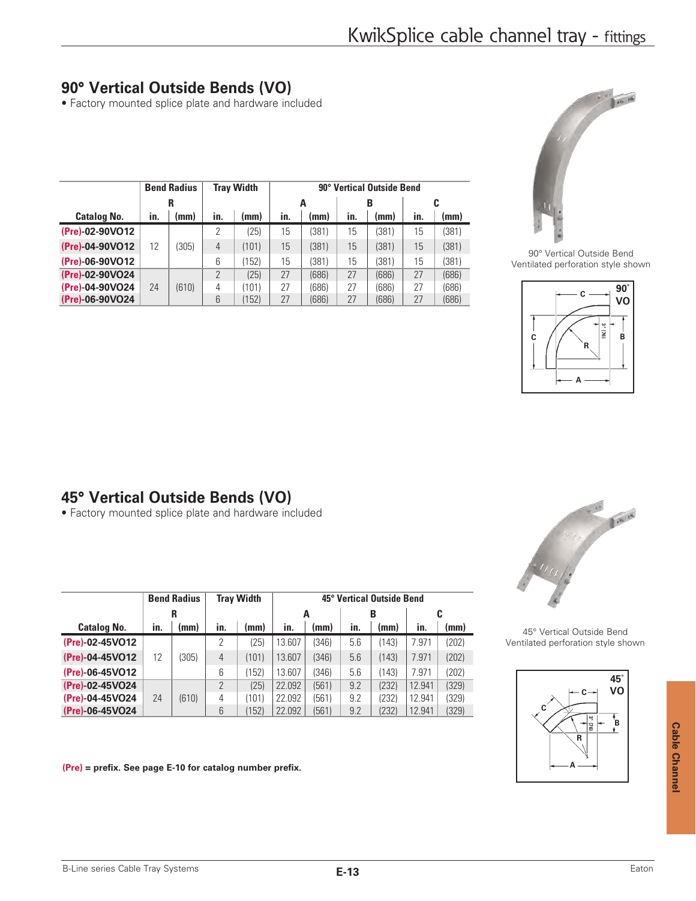## **90° Vertical Outside Bends (VO)**

• Factory mounted splice plate and hardware included

|                    |     | <b>Bend Radius</b> |               | <b>Tray Width</b> |     | 90° Vertical Outside Bend |     |       |     |       |  |  |
|--------------------|-----|--------------------|---------------|-------------------|-----|---------------------------|-----|-------|-----|-------|--|--|
|                    | R   |                    |               |                   |     | A                         |     | В     |     |       |  |  |
| <b>Catalog No.</b> | in. | (mm)               | in.           | (mm)              | in. | (mm)                      | in. | (mm)  | in. | (mm)  |  |  |
| (Pre)-02-90VO12    |     |                    | 2             | (25)              | 15  | (381)                     | 15  | (381) | 15  | (381) |  |  |
| (Pre)-04-90VO12    | 12  | (305)              | 4             | (101)             | 15  | (381)                     | 15  | (381) | 15  | (381) |  |  |
| (Pre)-06-90VO12    |     |                    | 6             | 152)              | 15  | (381)                     | 15  | (381) | 15  | (381) |  |  |
| (Pre)-02-90VO24    |     |                    | $\mathcal{P}$ | (25)              | 27  | (686)                     | 27  | (686) | 27  | (686) |  |  |
| (Pre)-04-90VO24    | 24  | (610)              | 4             | (101)             | 27  | (686)                     | 27  | (686) | 27  | (686) |  |  |
| (Pre)-06-90VO24    |     |                    | 6             | (152)             | 27  | (686)                     | 27  | (686) | 27  | (686) |  |  |



90° Vertical Outside Bend Ventilated perforation style shown



# **45° Vertical Outside Bends (VO)**

• Factory mounted splice plate and hardware included

|                    |     | <b>Bend Radius</b> |     | <b>Tray Width</b> | 45° Vertical Outside Bend |       |     |       |        |       |  |  |
|--------------------|-----|--------------------|-----|-------------------|---------------------------|-------|-----|-------|--------|-------|--|--|
|                    | R   |                    |     |                   |                           | A     |     | в     | C      |       |  |  |
| <b>Catalog No.</b> | in. | (mm)               | in. | (mm)              | in.                       | (mm)  | in. | (mm)  | in.    | (mm)  |  |  |
| (Pre)-02-45VO12    |     |                    | 2   | (25)              | 13.607                    | (346) | 5.6 | (143) | 7.971  | (202) |  |  |
| (Pre)-04-45VO12    | 12  | (305)              | 4   | (101)             | 13.607                    | (346) | 5.6 | (143) | 7.971  | (202) |  |  |
| (Pre)-06-45VO12    |     |                    | 6   | (152)             | 13.607                    | (346) | 5.6 | (143) | 7.971  | (202) |  |  |
| (Pre)-02-45VO24    |     |                    | 2   | (25)              | 22.092                    | (561) | 9.2 | (232) | 12.941 | (329) |  |  |
| (Pre)-04-45VO24    | 24  | (610)              | 4   | (101)             | 22.092                    | 561)  | 9.2 | (232) | 12.941 | (329) |  |  |
| (Pre)-06-45VO24    |     |                    | 6   | (152)             | 22.092                    | 561)  | 9.2 | (232) | 12.941 | (329) |  |  |

**(Pre) = prefix. See page E-10 for catalog number prefix.** 



45° Vertical Outside Bend Ventilated perforation style shown

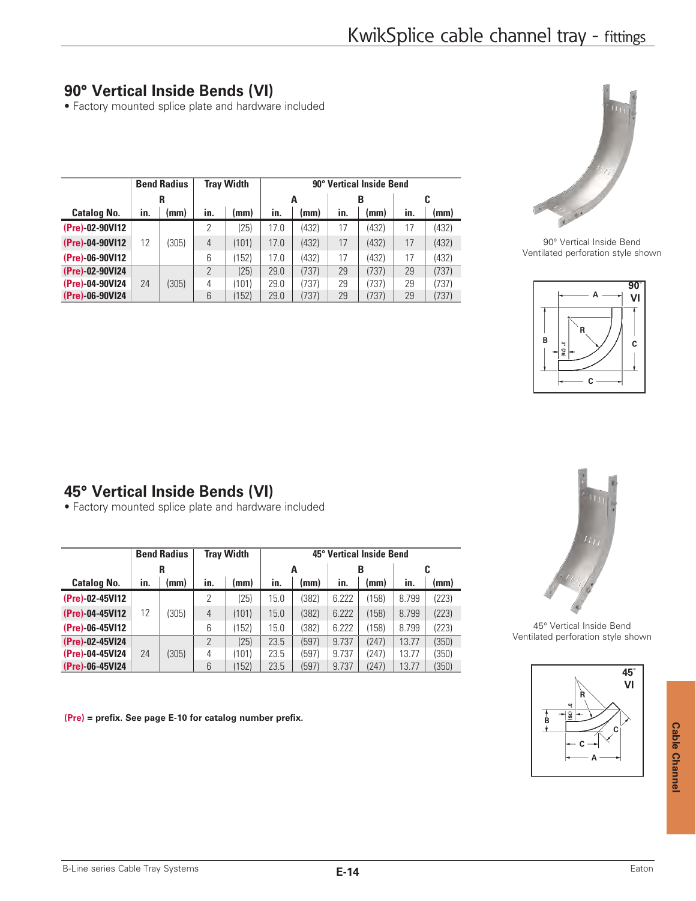## **90° Vertical Inside Bends (VI)**

• Factory mounted splice plate and hardware included

|                    |     | <b>Bend Radius</b> |                | <b>Tray Width</b> | 90° Vertical Inside Bend |       |     |       |     |       |  |  |
|--------------------|-----|--------------------|----------------|-------------------|--------------------------|-------|-----|-------|-----|-------|--|--|
|                    | R   |                    |                |                   |                          | A     |     | В     |     |       |  |  |
| <b>Catalog No.</b> | in. | (mm)               | in.            | (mm)              | in.                      | (mm)  | in. | (mm)  | in. | (mm)  |  |  |
| (Pre)-02-90VI12    |     |                    | 2              | (25)              | 17.0                     | (432) | 17  | (432) | 17  | (432) |  |  |
| (Pre)-04-90VI12    | 12  | 305)               | $\overline{4}$ | (101)             | 17.0                     | (432) | 17  | (432) | 17  | (432) |  |  |
| (Pre)-06-90VI12    |     |                    | 6              | (152)             | 17.0                     | (432) | 17  | (432) | 17  | (432) |  |  |
| (Pre)-02-90VI24    |     |                    | 2              | (25)              | 29.0                     | (737) | 29  | (737) | 29  | (737) |  |  |
| (Pre)-04-90VI24    | 24  | (305)              | 4              | (101)             | 29.0                     | 737)  | 29  | (737) | 29  | (737) |  |  |
| (Pre)-06-90VI24    |     |                    | 6              | (152)             | 29.0                     | (737) | 29  | (737) | 29  | (737) |  |  |



90° Vertical Inside Bend Ventilated perforation style shown



# **45° Vertical Inside Bends (VI)**

• Factory mounted splice plate and hardware included

|                    | <b>Bend Radius</b><br><b>Tray Width</b> |       |                |       | 45° Vertical Inside Bend |       |       |       |       |       |  |  |
|--------------------|-----------------------------------------|-------|----------------|-------|--------------------------|-------|-------|-------|-------|-------|--|--|
|                    | R                                       |       |                |       |                          | A     |       | В     |       | C     |  |  |
| <b>Catalog No.</b> | in.                                     | (mm)  | in.            | (mm)  | in.                      | (mm)  | in.   | (mm)  | in.   | (mm)  |  |  |
| (Pre)-02-45VI12    |                                         |       | 2              | (25)  | 15.0                     | (382) | 6.222 | (158) | 8.799 | (223) |  |  |
| (Pre)-04-45VI12    | 12                                      | (305) | $\overline{4}$ | (101) | 15.0                     | (382) | 6.222 | (158) | 8.799 | (223) |  |  |
| (Pre)-06-45VI12    |                                         |       | 6              | (152) | 15.0                     | (382) | 6.222 | (158) | 8.799 | (223) |  |  |
| (Pre)-02-45VI24    |                                         |       | $\overline{2}$ | (25)  | 23.5                     | (597) | 9.737 | (247) | 13.77 | (350) |  |  |
| (Pre)-04-45VI24    | 24                                      | (305) | 4              | (101) | 23.5                     | (597) | 9.737 | (247) | 13.77 | (350) |  |  |
| (Pre)-06-45VI24    |                                         |       | 6              | (152) | 23.5                     | (597) | 9.737 | (247) | 13.77 | (350) |  |  |

**(Pre) = prefix. See page E-10 for catalog number prefix.** 



45° Vertical Inside Bend Ventilated perforation style shown